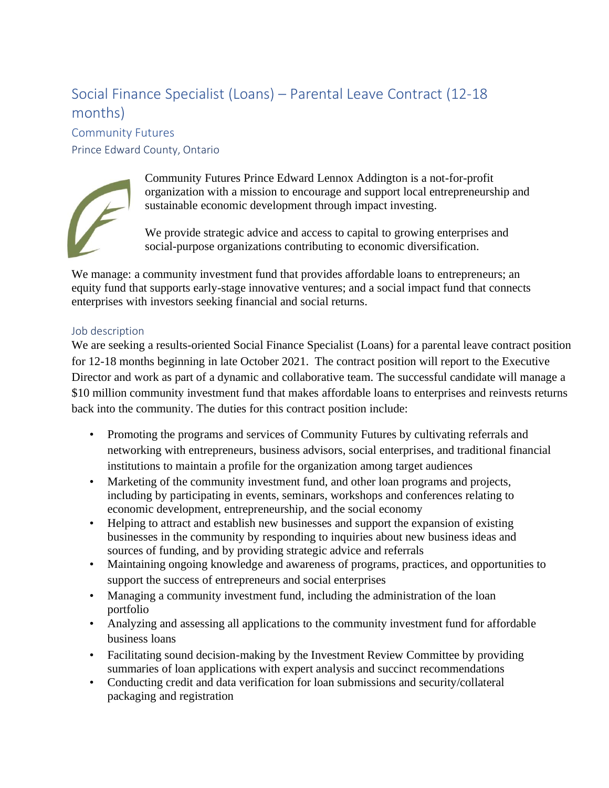## Social Finance Specialist (Loans) – Parental Leave Contract (12-18 months)

Community Futures Prince Edward County, Ontario



Community Futures Prince Edward Lennox Addington is a not-for-profit organization with a mission to encourage and support local entrepreneurship and sustainable economic development through impact investing.

We provide strategic advice and access to capital to growing enterprises and social-purpose organizations contributing to economic diversification.

We manage: a community investment fund that provides affordable loans to entrepreneurs; an equity fund that supports early-stage innovative ventures; and a social impact fund that connects enterprises with investors seeking financial and social returns.

## Job description

We are seeking a results-oriented Social Finance Specialist (Loans) for a parental leave contract position for 12-18 months beginning in late October 2021. The contract position will report to the Executive Director and work as part of a dynamic and collaborative team. The successful candidate will manage a \$10 million community investment fund that makes affordable loans to enterprises and reinvests returns back into the community. The duties for this contract position include:

- Promoting the programs and services of Community Futures by cultivating referrals and networking with entrepreneurs, business advisors, social enterprises, and traditional financial institutions to maintain a profile for the organization among target audiences
- Marketing of the community investment fund, and other loan programs and projects, including by participating in events, seminars, workshops and conferences relating to economic development, entrepreneurship, and the social economy
- Helping to attract and establish new businesses and support the expansion of existing businesses in the community by responding to inquiries about new business ideas and sources of funding, and by providing strategic advice and referrals
- Maintaining ongoing knowledge and awareness of programs, practices, and opportunities to support the success of entrepreneurs and social enterprises
- Managing a community investment fund, including the administration of the loan portfolio
- Analyzing and assessing all applications to the community investment fund for affordable business loans
- Facilitating sound decision-making by the Investment Review Committee by providing summaries of loan applications with expert analysis and succinct recommendations
- Conducting credit and data verification for loan submissions and security/collateral packaging and registration